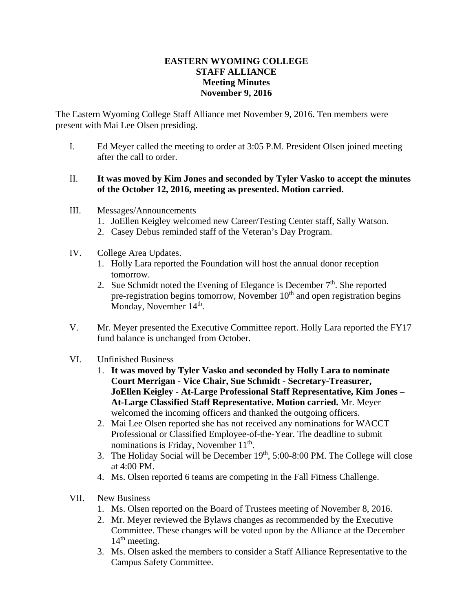## **EASTERN WYOMING COLLEGE STAFF ALLIANCE Meeting Minutes November 9, 2016**

The Eastern Wyoming College Staff Alliance met November 9, 2016. Ten members were present with Mai Lee Olsen presiding.

- I. Ed Meyer called the meeting to order at 3:05 P.M. President Olsen joined meeting after the call to order.
- II. **It was moved by Kim Jones and seconded by Tyler Vasko to accept the minutes of the October 12, 2016, meeting as presented. Motion carried.**
- III. Messages/Announcements
	- 1. JoEllen Keigley welcomed new Career/Testing Center staff, Sally Watson.
	- 2. Casey Debus reminded staff of the Veteran's Day Program.
- IV. College Area Updates.
	- 1. Holly Lara reported the Foundation will host the annual donor reception tomorrow.
	- 2. Sue Schmidt noted the Evening of Elegance is December  $7<sup>th</sup>$ . She reported pre-registration begins tomorrow, November  $10<sup>th</sup>$  and open registration begins Monday, November 14<sup>th</sup>.
- V. Mr. Meyer presented the Executive Committee report. Holly Lara reported the FY17 fund balance is unchanged from October.
- VI. Unfinished Business
	- 1. **It was moved by Tyler Vasko and seconded by Holly Lara to nominate Court Merrigan - Vice Chair, Sue Schmidt - Secretary-Treasurer, JoEllen Keigley - At-Large Professional Staff Representative, Kim Jones – At-Large Classified Staff Representative. Motion carried.** Mr. Meyer welcomed the incoming officers and thanked the outgoing officers.
	- 2. Mai Lee Olsen reported she has not received any nominations for WACCT Professional or Classified Employee-of-the-Year. The deadline to submit nominations is Friday, November  $11<sup>th</sup>$ .
	- 3. The Holiday Social will be December  $19<sup>th</sup>$ , 5:00-8:00 PM. The College will close at 4:00 PM.
	- 4. Ms. Olsen reported 6 teams are competing in the Fall Fitness Challenge.
- VII. New Business
	- 1. Ms. Olsen reported on the Board of Trustees meeting of November 8, 2016.
	- 2. Mr. Meyer reviewed the Bylaws changes as recommended by the Executive Committee. These changes will be voted upon by the Alliance at the December  $14<sup>th</sup>$  meeting.
	- 3. Ms. Olsen asked the members to consider a Staff Alliance Representative to the Campus Safety Committee.